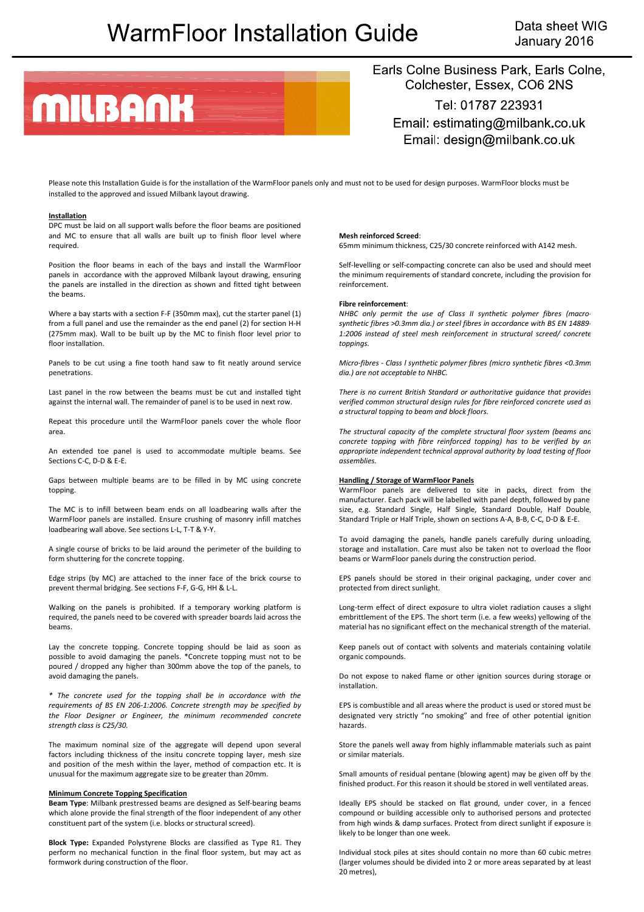# **WarmFloor Installation Guide**

Data sheet WIG January 2016



Earls Colne Business Park, Earls Colne, Colchester, Essex, CO6 2NS

Tel: 01787 223931 Email: estimating@milbank.co.uk Email: design@milbank.co.uk

Please note this Installation Guide is for the installation of the WarmFloor panels only and must not to be used for design purposes. WarmFloor blocks must be installed to the approved and issued Milbank layout drawing.

#### **Installation**

DPC must be laid on all support walls before the floor beams are positioned and MC to ensure that all walls are built up to finish floor level where required.

Position the floor beams in each of the bays and install the WarmFloor panels in accordance with the approved Milbank layout drawing, ensuring the panels are installed in the direction as shown and fitted tight between the beams.

Where a bay starts with a section F-F (350mm max), cut the starter panel (1) from a full panel and use the remainder as the end panel (2) for section H‐H (275mm max). Wall to be built up by the MC to finish floor level prior to floor installation.

Panels to be cut using a fine tooth hand saw to fit neatly around service penetrations.

Last panel in the row between the beams must be cut and installed tight against the internal wall. The remainder of panel is to be used in next row.

Repeat this procedure until the WarmFloor panels cover the whole floor area.

An extended toe panel is used to accommodate multiple beams. See Sections C‐C, D‐D & E‐E.

Gaps between multiple beams are to be filled in by MC using concrete topping.

The MC is to infill between beam ends on all loadbearing walls after the WarmFloor panels are installed. Ensure crushing of masonry infill matches loadbearing wall above. See sections L‐L, T‐T & Y‐Y.

A single course of bricks to be laid around the perimeter of the building to form shuttering for the concrete topping.

Edge strips (by MC) are attached to the inner face of the brick course to prevent thermal bridging. See sections F‐F, G‐G, HH & L‐L.

Walking on the panels is prohibited. If a temporary working platform is required, the panels need to be covered with spreader boards laid across the beams.

Lay the concrete topping. Concrete topping should be laid as soon as possible to avoid damaging the panels. \*Concrete topping must not to be poured / dropped any higher than 300mm above the top of the panels, to avoid damaging the panels.

*\* The concrete used for the topping shall be in accordance with the requirements of BS EN 206‐1:2006. Concrete strength may be specified by the Floor Designer or Engineer, the minimum recommended concrete strength class is C25/30.*

The maximum nominal size of the aggregate will depend upon several factors including thickness of the insitu concrete topping layer, mesh size and position of the mesh within the layer, method of compaction etc. It is unusual for the maximum aggregate size to be greater than 20mm.

## **Minimum Concrete Topping Specification**

**Beam Type**: Milbank prestressed beams are designed as Self‐bearing beams which alone provide the final strength of the floor independent of any other constituent part of the system (i.e. blocks or structural screed).

**Block Type:** Expanded Polystyrene Blocks are classified as Type R1. They perform no mechanical function in the final floor system, but may act as formwork during construction of the floor.

#### **Mesh reinforced Screed**:

65mm minimum thickness, C25/30 concrete reinforced with A142 mesh.

Self‐levelling or self‐compacting concrete can also be used and should meet the minimum requirements of standard concrete, including the provision for reinforcement.

### **Fibre reinforcement**:

*NHBC only permit the use of Class II synthetic polymer fibres (macro‐ synthetic fibres >0.3mm dia.) or steel fibres in accordance with BS EN 14889‐ 1:2006 instead of steel mesh reinforcement in structural screed/ concrete toppings.* 

*Micro‐fibres ‐ Class l synthetic polymer fibres (micro synthetic fibres <0.3mm dia.) are not acceptable to NHBC.*

*There is no current British Standard or authoritative guidance that provides verified common structural design rules for fibre reinforced concrete used as a structural topping to beam and block floors.* 

*The structural capacity of the complete structural floor system (beams and concrete topping with fibre reinforced topping) has to be verified by an appropriate independent technical approval authority by load testing of floor assemblies.*

#### **Handling / Storage of WarmFloor Panels**

WarmFloor panels are delivered to site in packs, direct from the manufacturer. Each pack will be labelled with panel depth, followed by pane size, e.g. Standard Single, Half Single, Standard Double, Half Double, Standard Triple or Half Triple, shown on sections A‐A, B‐B, C‐C, D‐D & E‐E.

To avoid damaging the panels, handle panels carefully during unloading, storage and installation. Care must also be taken not to overload the floor beams or WarmFloor panels during the construction period.

EPS panels should be stored in their original packaging, under cover and protected from direct sunlight.

Long‐term effect of direct exposure to ultra violet radiation causes a slight embrittlement of the EPS. The short term (i.e. a few weeks) yellowing of the material has no significant effect on the mechanical strength of the material.

Keep panels out of contact with solvents and materials containing volatile organic compounds.

Do not expose to naked flame or other ignition sources during storage or installation.

EPS is combustible and all areas where the product is used or stored must be designated very strictly "no smoking" and free of other potential ignition hazards.

Store the panels well away from highly inflammable materials such as paint or similar materials.

Small amounts of residual pentane (blowing agent) may be given off by the finished product. For this reason it should be stored in well ventilated areas.

Ideally EPS should be stacked on flat ground, under cover, in a fenced compound or building accessible only to authorised persons and protected from high winds & damp surfaces. Protect from direct sunlight if exposure is likely to be longer than one week.

Individual stock piles at sites should contain no more than 60 cubic metres (larger volumes should be divided into 2 or more areas separated by at least 20 metres),